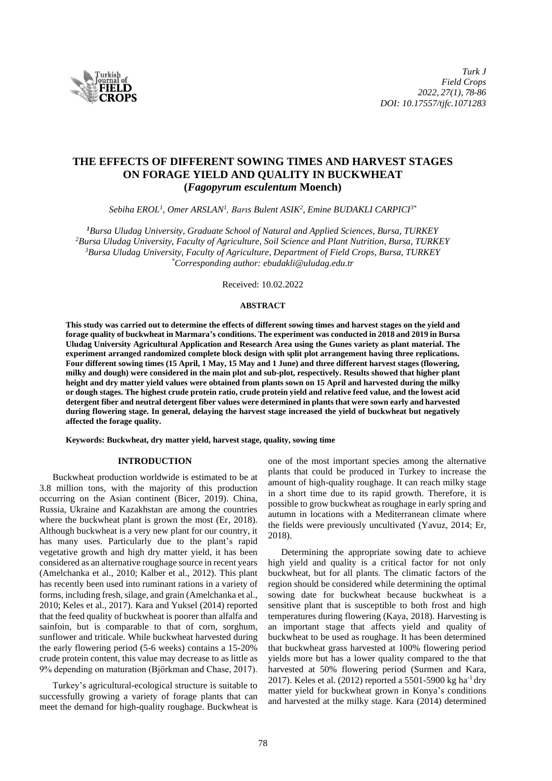

# **THE EFFECTS OF DIFFERENT SOWING TIMES AND HARVEST STAGES ON FORAGE YIELD AND QUALITY IN BUCKWHEAT (***Fagopyrum esculentum* **Moench)**

*Sebiha EROL<sup>1</sup> , Omer ARSLAN<sup>1</sup> , Barıs Bulent ASIK<sup>2</sup> , Emine BUDAKLI CARPICI3\**

*Bursa Uludag University, Graduate School of Natural and Applied Sciences, Bursa, TURKEY Bursa Uludag University, Faculty of Agriculture, Soil Science and Plant Nutrition, Bursa, TURKEY Bursa Uludag University, Faculty of Agriculture, Department of Field Crops, Bursa, TURKEY \*Corresponding author: ebudakli@uludag.edu.tr*

Received: 10.02.2022

### **ABSTRACT**

**This study was carried out to determine the effects of different sowing times and harvest stages on the yield and forage quality of buckwheat in Marmara's conditions. The experiment was conducted in 2018 and 2019 in Bursa Uludag University Agricultural Application and Research Area using the Gunes variety as plant material. The experiment arranged randomized complete block design with split plot arrangement having three replications. Four different sowing times (15 April, 1 May, 15 May and 1 June) and three different harvest stages (flowering, milky and dough) were considered in the main plot and sub-plot, respectively. Results showed that higher plant height and dry matter yield values were obtained from plants sown on 15 April and harvested during the milky or dough stages. The highest crude protein ratio, crude protein yield and relative feed value, and the lowest acid detergent fiber and neutral detergent fiber values were determined in plants that were sown early and harvested during flowering stage. In general, delaying the harvest stage increased the yield of buckwheat but negatively affected the forage quality.**

**Keywords: Buckwheat, dry matter yield, harvest stage, quality, sowing time** 

### **INTRODUCTION**

Buckwheat production worldwide is estimated to be at 3.8 million tons, with the majority of this production occurring on the Asian continent (Bicer, 2019). China, Russia, Ukraine and Kazakhstan are among the countries where the buckwheat plant is grown the most (Er, 2018). Although buckwheat is a very new plant for our country, it has many uses. Particularly due to the plant's rapid vegetative growth and high dry matter yield, it has been considered as an alternative roughage source in recent years (Amelchanka et al., 2010; Kalber et al., 2012). This plant has recently been used into ruminant rations in a variety of forms, including fresh, silage, and grain (Amelchanka et al., 2010; Keles et al., 2017). Kara and Yuksel (2014) reported that the feed quality of buckwheat is poorer than alfalfa and sainfoin, but is comparable to that of corn, sorghum, sunflower and triticale. While buckwheat harvested during the early flowering period (5-6 weeks) contains a 15-20% crude protein content, this value may decrease to as little as 9% depending on maturation (Björkman and Chase, 2017).

Turkey's agricultural-ecological structure is suitable to successfully growing a variety of forage plants that can meet the demand for high-quality roughage. Buckwheat is one of the most important species among the alternative plants that could be produced in Turkey to increase the amount of high-quality roughage. It can reach milky stage in a short time due to its rapid growth. Therefore, it is possible to grow buckwheat as roughage in early spring and autumn in locations with a Mediterranean climate where the fields were previously uncultivated (Yavuz, 2014; Er, 2018).

Determining the appropriate sowing date to achieve high yield and quality is a critical factor for not only buckwheat, but for all plants. The climatic factors of the region should be considered while determining the optimal sowing date for buckwheat because buckwheat is a sensitive plant that is susceptible to both frost and high temperatures during flowering (Kaya, 2018). Harvesting is an important stage that affects yield and quality of buckwheat to be used as roughage. It has been determined that buckwheat grass harvested at 100% flowering period yields more but has a lower quality compared to the that harvested at 50% flowering period (Surmen and Kara, 2017). Keles et al. (2012) reported a 5501-5900 kg ha<sup>-1</sup> dry matter yield for buckwheat grown in Konya's conditions and harvested at the milky stage. Kara (2014) determined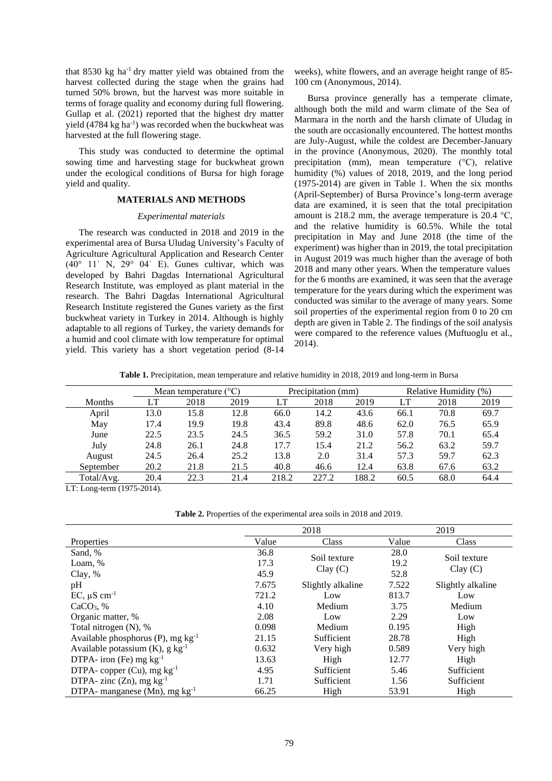that 8530 kg ha-1 dry matter yield was obtained from the harvest collected during the stage when the grains had turned 50% brown, but the harvest was more suitable in terms of forage quality and economy during full flowering. Gullap et al. (2021) reported that the highest dry matter yield  $(4784 \text{ kg ha}^{-1})$  was recorded when the buckwheat was harvested at the full flowering stage.

This study was conducted to determine the optimal sowing time and harvesting stage for buckwheat grown under the ecological conditions of Bursa for high forage yield and quality.

# **MATERIALS AND METHODS**

#### *Experimental materials*

The research was conducted in 2018 and 2019 in the experimental area of Bursa Uludag University's Faculty of Agriculture Agricultural Application and Research Center  $(40^{\circ}$  11' N, 29° 04' E). Gunes cultivar, which was developed by Bahri Dagdas International Agricultural Research Institute, was employed as plant material in the research. The Bahri Dagdas International Agricultural Research Institute registered the Gunes variety as the first buckwheat variety in Turkey in 2014. Although is highly adaptable to all regions of Turkey, the variety demands for a humid and cool climate with low temperature for optimal yield. This variety has a short vegetation period (8-14 weeks), white flowers, and an average height range of 85- 100 cm (Anonymous, 2014).

Bursa province generally has a temperate climate, although both the mild and warm climate of the Sea of Marmara in the north and the harsh climate of Uludag in the south are occasionally encountered. The hottest months are July-August, while the coldest are December-January in the province (Anonymous, 2020). The monthly total precipitation (mm), mean temperature (°C), relative humidity (%) values of 2018, 2019, and the long period (1975-2014) are given in Table 1. When the six months (April-September) of Bursa Province's long-term average data are examined, it is seen that the total precipitation amount is 218.2 mm, the average temperature is 20.4  $^{\circ}$ C, and the relative humidity is 60.5%. While the total precipitation in May and June 2018 (the time of the experiment) was higher than in 2019, the total precipitation in August 2019 was much higher than the average of both 2018 and many other years. When the temperature values for the 6 months are examined, it was seen that the average temperature for the years during which the experiment was conducted was similar to the average of many years. Some soil properties of the experimental region from 0 to 20 cm depth are given in Table 2. The findings of the soil analysis were compared to the reference values (Muftuoglu et al., 2014).

**Table 1.** Precipitation, mean temperature and relative humidity in 2018, 2019 and long-term in Bursa

|            |      | Mean temperature $(^{\circ}C)$ |      |       | Precipitation (mm) |       |      | Relative Humidity (%) |      |  |
|------------|------|--------------------------------|------|-------|--------------------|-------|------|-----------------------|------|--|
| Months     | LT   | 2018                           | 2019 | LT    | 2018               | 2019  |      | 2018                  | 2019 |  |
| April      | 13.0 | 15.8                           | 12.8 | 66.0  | 14.2               | 43.6  | 66.1 | 70.8                  | 69.7 |  |
| May        | 17.4 | 19.9                           | 19.8 | 43.4  | 89.8               | 48.6  | 62.0 | 76.5                  | 65.9 |  |
| June       | 22.5 | 23.5                           | 24.5 | 36.5  | 59.2               | 31.0  | 57.8 | 70.1                  | 65.4 |  |
| July       | 24.8 | 26.1                           | 24.8 | 17.7  | 15.4               | 21.2  | 56.2 | 63.2                  | 59.7 |  |
| August     | 24.5 | 26.4                           | 25.2 | 13.8  | 2.0                | 31.4  | 57.3 | 59.7                  | 62.3 |  |
| September  | 20.2 | 21.8                           | 21.5 | 40.8  | 46.6               | 12.4  | 63.8 | 67.6                  | 63.2 |  |
| Total/Avg. | 20.4 | 22.3                           | 21.4 | 218.2 | 227.2              | 188.2 | 60.5 | 68.0                  | 64.4 |  |

LT: Long-term (1975-2014).

**Table 2.** Properties of the experimental area soils in 2018 and 2019.

|                                                |       | 2018              |       | 2019              |  |  |
|------------------------------------------------|-------|-------------------|-------|-------------------|--|--|
| Properties                                     | Value | Class             | Value | Class             |  |  |
| Sand, %                                        | 36.8  | Soil texture      | 28.0  | Soil texture      |  |  |
| Loam, %                                        | 17.3  | Clay(C)           | 19.2  | Clay(C)           |  |  |
| Clay, %                                        | 45.9  |                   | 52.8  |                   |  |  |
| pH                                             | 7.675 | Slightly alkaline | 7.522 | Slightly alkaline |  |  |
| $EC, \mu S \text{ cm}^{-1}$                    | 721.2 | Low               | 813.7 | Low               |  |  |
| $CaCO3$ , %                                    | 4.10  | Medium            | 3.75  | Medium            |  |  |
| Organic matter, %                              | 2.08  | Low               | 2.29  | Low               |  |  |
| Total nitrogen (N), %                          | 0.098 | Medium            | 0.195 | High              |  |  |
| Available phosphorus (P), mg $kg^{-1}$         | 21.15 | Sufficient        | 28.78 | High              |  |  |
| Available potassium $(K)$ , g kg <sup>-1</sup> | 0.632 | Very high         | 0.589 | Very high         |  |  |
| DTPA- iron (Fe) mg $kg^{-1}$                   | 13.63 | High              | 12.77 | High              |  |  |
| DTPA- copper $(Cu)$ , mg $kg^{-1}$             | 4.95  | Sufficient        | 5.46  | Sufficient        |  |  |
| DTPA- zinc $(Zn)$ , mg $kg^{-1}$               | 1.71  | Sufficient        | 1.56  | Sufficient        |  |  |
| DTPA- manganese (Mn), mg $kg^{-1}$             | 66.25 | High              | 53.91 | High              |  |  |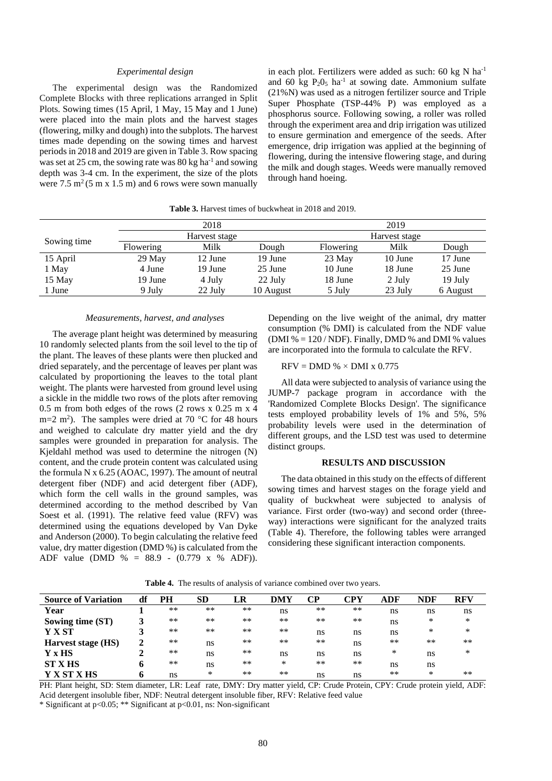### *Experimental design*

The experimental design was the Randomized Complete Blocks with three replications arranged in Split Plots. Sowing times (15 April, 1 May, 15 May and 1 June) were placed into the main plots and the harvest stages (flowering, milky and dough) into the subplots. The harvest times made depending on the sowing times and harvest periods in 2018 and 2019 are given in Table 3. Row spacing was set at 25 cm, the sowing rate was  $80 \text{ kg}$  ha<sup>-1</sup> and sowing depth was 3-4 cm. In the experiment, the size of the plots were  $7.5 \text{ m}^2 (5 \text{ m} \text{ x } 1.5 \text{ m})$  and 6 rows were sown manually in each plot. Fertilizers were added as such: 60 kg N ha<sup>-1</sup> and 60 kg  $P_2O_5$  ha<sup>-1</sup> at sowing date. Ammonium sulfate (21%N) was used as a nitrogen fertilizer source and Triple Super Phosphate (TSP-44% P) was employed as a phosphorus source. Following sowing, a roller was rolled through the experiment area and drip irrigation was utilized to ensure germination and emergence of the seeds. After emergence, drip irrigation was applied at the beginning of flowering, during the intensive flowering stage, and during the milk and dough stages. Weeds were manually removed through hand hoeing.

**Table 3.** Harvest times of buckwheat in 2018 and 2019.

|             |           | 2018          |           | 2019          |         |          |  |
|-------------|-----------|---------------|-----------|---------------|---------|----------|--|
|             |           | Harvest stage |           | Harvest stage |         |          |  |
| Sowing time | Flowering | Milk          | Dough     | Flowering     | Milk    | Dough    |  |
| 15 April    | $29$ May  | 12 June       | 19 June   | 23 May        | 10 June | 17 June  |  |
| 1 May       | 4 June    | 19 June       | 25 June   | 10 June       | 18 June | 25 June  |  |
| 15 May      | 19 June   | 4 July        | 22 July   | 18 June       | 2 July  | 19 July  |  |
| 1 June      | 9 July    | 22 July       | 10 August | 5 July        | 23 July | 6 August |  |

### *Measurements, harvest, and analyses*

The average plant height was determined by measuring 10 randomly selected plants from the soil level to the tip of the plant. The leaves of these plants were then plucked and dried separately, and the percentage of leaves per plant was calculated by proportioning the leaves to the total plant weight. The plants were harvested from ground level using a sickle in the middle two rows of the plots after removing 0.5 m from both edges of the rows (2 rows x 0.25 m x 4 m=2 m<sup>2</sup>). The samples were dried at 70  $^{\circ}$ C for 48 hours and weighed to calculate dry matter yield and the dry samples were grounded in preparation for analysis. The Kjeldahl method was used to determine the nitrogen (N) content, and the crude protein content was calculated using the formula N x 6.25 (AOAC, 1997). The amount of neutral detergent fiber (NDF) and acid detergent fiber (ADF), which form the cell walls in the ground samples, was determined according to the method described by Van Soest et al. (1991). The relative feed value (RFV) was determined using the equations developed by Van Dyke and Anderson (2000). To begin calculating the relative feed value, dry matter digestion (DMD %) is calculated from the ADF value (DMD % = 88.9 - (0.779 x % ADF)). Depending on the live weight of the animal, dry matter consumption (% DMI) is calculated from the NDF value (DMI  $% = 120 / NDF$ ). Finally, DMD % and DMI % values are incorporated into the formula to calculate the RFV.

#### $RFV = DMD % × DMI x 0.775$

All data were subjected to analysis of variance using the JUMP-7 package program in accordance with the 'Randomized Complete Blocks Design'. The significance tests employed probability levels of 1% and 5%, 5% probability levels were used in the determination of different groups, and the LSD test was used to determine distinct groups.

#### **RESULTS AND DISCUSSION**

The data obtained in this study on the effects of different sowing times and harvest stages on the forage yield and quality of buckwheat were subjected to analysis of variance. First order (two-way) and second order (threeway) interactions were significant for the analyzed traits (Table 4). Therefore, the following tables were arranged considering these significant interaction components.

| <b>Source of Variation</b> | df | PH    | SD    | LR   | DMY | CР | CPY   | ADF  | NDF   | <b>RFV</b> |
|----------------------------|----|-------|-------|------|-----|----|-------|------|-------|------------|
| Year                       |    | $**$  | $***$ | $**$ | ns  | ** | $***$ | ns   | ns    | ns         |
| Sowing time (ST)           |    | $**$  | **    | $**$ | **  | ** | $**$  | ns   | *     | *          |
| <b>Y X ST</b>              |    | $**$  | **    | $**$ | **  | ns | ns    | ns   | *     | *          |
| Harvest stage (HS)         | ∍  | $***$ | ns    | $**$ | **  | ** | ns    | $**$ | $***$ | $**$       |
| Y x HS                     |    | $**$  | ns    | $**$ | ns  | ns | ns    | *    | ns    | $\ast$     |
| <b>ST X HS</b>             |    | $***$ | ns    | $**$ | *   | ** | $***$ | ns   | ns    |            |
| <b>Y X ST X HS</b>         |    | ns    | *     | $**$ | **  | ns | ns    | $**$ | *     | $**$       |

**Table 4.** The results of analysis of variance combined over two years.

PH: Plant height, SD: Stem diameter, LR: Leaf rate, DMY: Dry matter yield, CP: Crude Protein, CPY: Crude protein yield, ADF: Acid detergent insoluble fiber, NDF: Neutral detergent insoluble fiber, RFV: Relative feed value

\* Significant at p<0.05; \*\* Significant at p<0.01, ns: Non-significant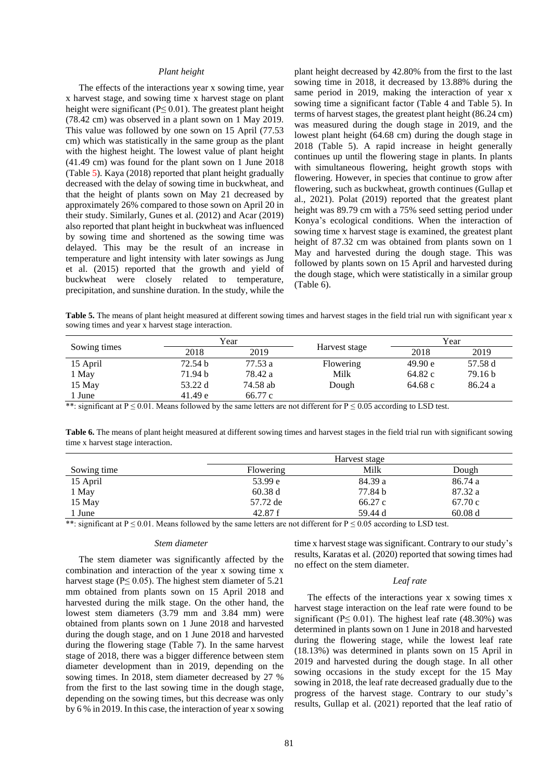### *Plant height*

The effects of the interactions year x sowing time, year x harvest stage, and sowing time x harvest stage on plant height were significant ( $P \le 0.01$ ). The greatest plant height (78.42 cm) was observed in a plant sown on 1 May 2019. This value was followed by one sown on 15 April (77.53 cm) which was statistically in the same group as the plant with the highest height. The lowest value of plant height (41.49 cm) was found for the plant sown on 1 June 2018 (Table 5). Kaya (2018) reported that plant height gradually decreased with the delay of sowing time in buckwheat, and that the height of plants sown on May 21 decreased by approximately 26% compared to those sown on April 20 in their study. Similarly, Gunes et al. (2012) and Acar (2019) also reported that plant height in buckwheat was influenced by sowing time and shortened as the sowing time was delayed. This may be the result of an increase in temperature and light intensity with later sowings as Jung et al. (2015) reported that the growth and yield of buckwheat were closely related to temperature, precipitation, and sunshine duration. In the study, while the plant height decreased by 42.80% from the first to the last sowing time in 2018, it decreased by 13.88% during the same period in 2019, making the interaction of year x sowing time a significant factor (Table 4 and Table 5). In terms of harvest stages, the greatest plant height (86.24 cm) was measured during the dough stage in 2019, and the lowest plant height (64.68 cm) during the dough stage in 2018 (Table 5). A rapid increase in height generally continues up until the flowering stage in plants. In plants with simultaneous flowering, height growth stops with flowering. However, in species that continue to grow after flowering, such as buckwheat, growth continues (Gullap et al., 2021). Polat (2019) reported that the greatest plant height was 89.79 cm with a 75% seed setting period under Konya's ecological conditions. When the interaction of sowing time x harvest stage is examined, the greatest plant height of 87.32 cm was obtained from plants sown on 1 May and harvested during the dough stage. This was followed by plants sown on 15 April and harvested during the dough stage, which were statistically in a similar group (Table 6).

Table 5. The means of plant height measured at different sowing times and harvest stages in the field trial run with significant year x sowing times and year x harvest stage interaction.

|              |         | Year     |               | Year    |         |  |
|--------------|---------|----------|---------------|---------|---------|--|
| Sowing times | 2018    | 2019     | Harvest stage | 2018    | 2019    |  |
| 15 April     | 72.54 b | 77.53 a  | Flowering     | 49.90 e | 57.58 d |  |
| 1 May        | 71.94 b | 78.42 a  | Milk          | 64.82 c | 79.16 b |  |
| 15 May       | 53.22 d | 74.58 ab | Dough         | 64.68 c | 86.24 a |  |
| l June       | 41.49 e | 66.77 c  |               |         |         |  |

\*\*: significant at P  $\leq$  0.01. Means followed by the same letters are not different for P  $\leq$  0.05 according to LSD test.

**Table 6.** The means of plant height measured at different sowing times and harvest stages in the field trial run with significant sowing time x harvest stage interaction.

| Sowing time      | <b>Flowering</b>                                    | Milk    | Dough   |
|------------------|-----------------------------------------------------|---------|---------|
| 15 April         | 53.99 e                                             | 84.39 a | 86.74 a |
| 1 May            | 60.38 d                                             | 77.84 b | 87.32 a |
| 15 May           | 57.72 de                                            | 66.27 c | 67.70 c |
| 1 June<br>.<br>. | 42.87 f<br>$\sim$ $\sim$ $\sim$ $\sim$<br>$ -$<br>. | 59.44 d | 60.08d  |

\*\*: significant at P  $\leq$  0.01. Means followed by the same letters are not different for P  $\leq$  0.05 according to LSD test.

### *Stem diameter*

The stem diameter was significantly affected by the combination and interaction of the year x sowing time x harvest stage ( $P \le 0.05$ ). The highest stem diameter of 5.21 mm obtained from plants sown on 15 April 2018 and harvested during the milk stage. On the other hand, the lowest stem diameters (3.79 mm and 3.84 mm) were obtained from plants sown on 1 June 2018 and harvested during the dough stage, and on 1 June 2018 and harvested during the flowering stage (Table 7). In the same harvest stage of 2018, there was a bigger difference between stem diameter development than in 2019, depending on the sowing times. In 2018, stem diameter decreased by 27 % from the first to the last sowing time in the dough stage, depending on the sowing times, but this decrease was only by 6 % in 2019. In this case, the interaction of year x sowing time x harvest stage was significant. Contrary to our study's results, Karatas et al. (2020) reported that sowing times had no effect on the stem diameter.

#### *Leaf rate*

The effects of the interactions year x sowing times x harvest stage interaction on the leaf rate were found to be significant ( $P \le 0.01$ ). The highest leaf rate (48.30%) was determined in plants sown on 1 June in 2018 and harvested during the flowering stage, while the lowest leaf rate (18.13%) was determined in plants sown on 15 April in 2019 and harvested during the dough stage. In all other sowing occasions in the study except for the 15 May sowing in 2018, the leaf rate decreased gradually due to the progress of the harvest stage. Contrary to our study's results, Gullap et al. (2021) reported that the leaf ratio of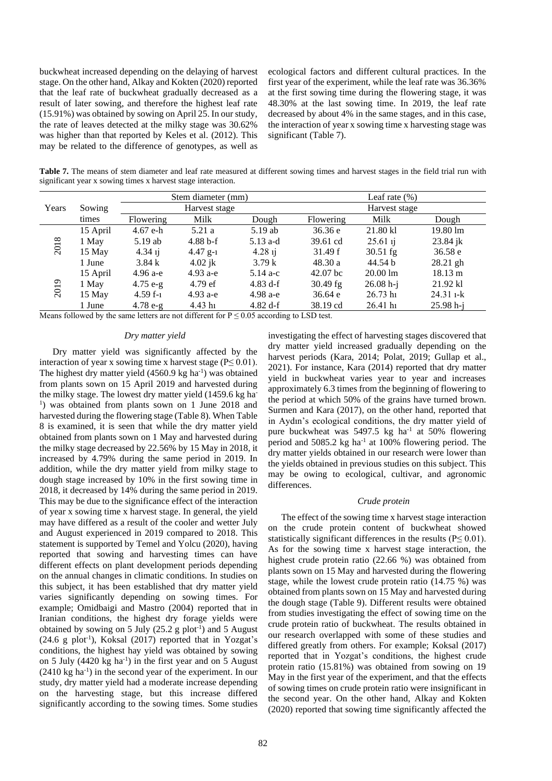buckwheat increased depending on the delaying of harvest stage. On the other hand, Alkay and Kokten (2020) reported that the leaf rate of buckwheat gradually decreased as a result of later sowing, and therefore the highest leaf rate (15.91%) was obtained by sowing on April 25. In our study, the rate of leaves detected at the milky stage was 30.62% was higher than that reported by Keles et al. (2012). This may be related to the difference of genotypes, as well as

ecological factors and different cultural practices. In the first year of the experiment, while the leaf rate was 36.36% at the first sowing time during the flowering stage, it was 48.30% at the last sowing time. In 2019, the leaf rate decreased by about 4% in the same stages, and in this case, the interaction of year x sowing time x harvesting stage was significant (Table 7).

**Table 7.** The means of stem diameter and leaf rate measured at different sowing times and harvest stages in the field trial run with significant year x sowing times x harvest stage interaction.

|       |          |            | Stem diameter (mm) |            | Leaf rate $(\%)$ |                    |                   |  |  |
|-------|----------|------------|--------------------|------------|------------------|--------------------|-------------------|--|--|
| Years | Sowing   |            | Harvest stage      |            |                  | Harvest stage      |                   |  |  |
|       | times    | Flowering  | Milk               | Dough      | Flowering        | Milk               | Dough             |  |  |
|       | 15 April | $4.67$ e-h | 5.21a              | 5.19ab     | 36.36 e          | 21.80 kl           | 19.80 lm          |  |  |
| 2018  | 1 May    | $5.19$ ab  | $4.88 b-f$         | $5.13$ a-d | 39.61 cd         | $25.61$ ij         | $23.84$ jk        |  |  |
|       | 15 May   | $4.34$ ij  | $4.47$ g-1         | $4.28$ ij  | 31.49 f          | $30.51$ fg         | 36.58 e           |  |  |
|       | 1 June   | 3.84k      | $4.02$ jk          | 3.79k      | 48.30a           | 44.54 b            | $28.21$ gh        |  |  |
|       | 15 April | $4.96 a-e$ | $4.93 a-e$         | $5.14$ a-c | $42.07$ bc       | $20.00 \text{ lm}$ | $18.13 \text{ m}$ |  |  |
| 2019  | 1 May    | $4.75 e-g$ | $4.79$ ef          | 4.83 d-f   | $30.49$ fg       | $26.08 h - j$      | 21.92 kl          |  |  |
|       | 15 May   | $4.59f-1$  | $4.93 a-e$         | $4.98$ a-e | 36.64 e          | $26.73 \text{ h}$  | $24.31$ 1-k       |  |  |
|       | 1 June   | $4.78 e-g$ | $4.43 \text{ h}$   | 4.82 d-f   | 38.19 cd         | $26.41 \text{ h}$  | $25.98 h-i$       |  |  |

Means followed by the same letters are not different for  $P \le 0.05$  according to LSD test.

#### *Dry matter yield*

Dry matter yield was significantly affected by the interaction of year x sowing time x harvest stage ( $P \leq 0.01$ ). The highest dry matter yield (4560.9 kg ha<sup>-1</sup>) was obtained from plants sown on 15 April 2019 and harvested during the milky stage. The lowest dry matter yield (1459.6 kg ha-<sup>1</sup>) was obtained from plants sown on 1 June 2018 and harvested during the flowering stage (Table 8). When Table 8 is examined, it is seen that while the dry matter yield obtained from plants sown on 1 May and harvested during the milky stage decreased by 22.56% by 15 May in 2018, it increased by 4.79% during the same period in 2019. In addition, while the dry matter yield from milky stage to dough stage increased by 10% in the first sowing time in 2018, it decreased by 14% during the same period in 2019. This may be due to the significance effect of the interaction of year x sowing time x harvest stage. In general, the yield may have differed as a result of the cooler and wetter July and August experienced in 2019 compared to 2018. This statement is supported by Temel and Yolcu (2020), having reported that sowing and harvesting times can have different effects on plant development periods depending on the annual changes in climatic conditions. In studies on this subject, it has been established that dry matter yield varies significantly depending on sowing times. For example; Omidbaigi and Mastro (2004) reported that in Iranian conditions, the highest dry forage yields were obtained by sowing on 5 July  $(25.2 \text{ g plot}^{-1})$  and 5 August  $(24.6 \text{ g plot}^{-1})$ , Koksal  $(2017)$  reported that in Yozgat's conditions, the highest hay yield was obtained by sowing on 5 July  $(4420 \text{ kg} \text{ ha}^{-1})$  in the first year and on 5 August (2410 kg ha-1 ) in the second year of the experiment. In our study, dry matter yield had a moderate increase depending on the harvesting stage, but this increase differed significantly according to the sowing times. Some studies

investigating the effect of harvesting stages discovered that dry matter yield increased gradually depending on the harvest periods (Kara, 2014; Polat, 2019; Gullap et al., 2021). For instance, Kara (2014) reported that dry matter yield in buckwheat varies year to year and increases approximately 6.3 times from the beginning of flowering to the period at which 50% of the grains have turned brown. Surmen and Kara (2017), on the other hand, reported that in Aydın's ecological conditions, the dry matter yield of pure buckwheat was 5497.5 kg ha<sup>-1</sup> at 50% flowering period and  $5085.2$  kg ha<sup>-1</sup> at 100% flowering period. The dry matter yields obtained in our research were lower than the yields obtained in previous studies on this subject. This may be owing to ecological, cultivar, and agronomic differences.

#### *Crude protein*

The effect of the sowing time x harvest stage interaction on the crude protein content of buckwheat showed statistically significant differences in the results ( $P \leq 0.01$ ). As for the sowing time x harvest stage interaction, the highest crude protein ratio (22.66 %) was obtained from plants sown on 15 May and harvested during the flowering stage, while the lowest crude protein ratio (14.75 %) was obtained from plants sown on 15 May and harvested during the dough stage (Table 9). Different results were obtained from studies investigating the effect of sowing time on the crude protein ratio of buckwheat. The results obtained in our research overlapped with some of these studies and differed greatly from others. For example; Koksal (2017) reported that in Yozgat's conditions, the highest crude protein ratio (15.81%) was obtained from sowing on 19 May in the first year of the experiment, and that the effects of sowing times on crude protein ratio were insignificant in the second year. On the other hand, Alkay and Kokten (2020) reported that sowing time significantly affected the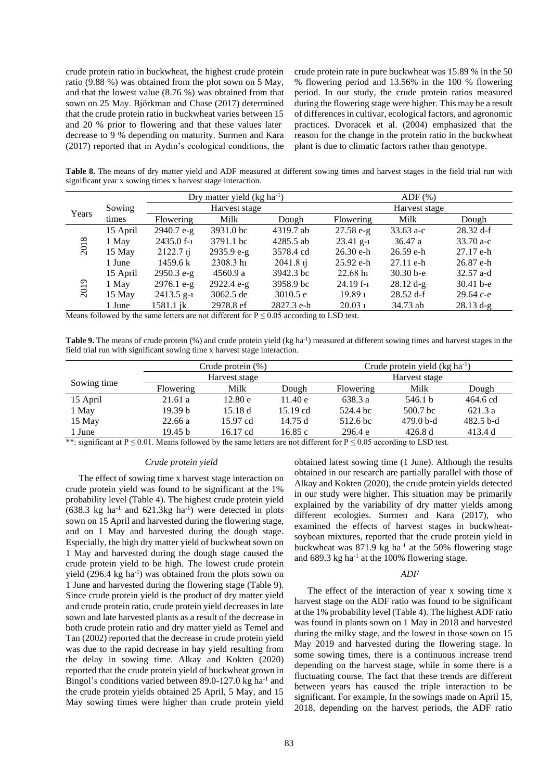crude protein ratio in buckwheat, the highest crude protein ratio (9.88 %) was obtained from the plot sown on 5 May, and that the lowest value (8.76 %) was obtained from that sown on 25 May. Björkman and Chase (2017) determined that the crude protein ratio in buckwheat varies between 15 and 20 % prior to flowering and that these values later decrease to 9 % depending on maturity. Surmen and Kara (2017) reported that in Aydın's ecological conditions, the crude protein rate in pure buckwheat was 15.89 % in the 50 % flowering period and 13.56% in the 100 % flowering period. In our study, the crude protein ratios measured during the flowering stage were higher. This may be a result of differences in cultivar, ecological factors, and agronomic practices. Dvoracek et al. (2004) emphasized that the reason for the change in the protein ratio in the buckwheat plant is due to climatic factors rather than genotype.

Table 8. The means of dry matter yield and ADF measured at different sowing times and harvest stages in the field trial run with significant year x sowing times x harvest stage interaction.

|       |          |                 | Dry matter yield $(kg ha^{-1})$ |             |                   | $ADF$ $(\%)$  |             |  |  |
|-------|----------|-----------------|---------------------------------|-------------|-------------------|---------------|-------------|--|--|
| Years | Sowing   |                 | Harvest stage                   |             |                   | Harvest stage |             |  |  |
|       | times    | Flowering       | Milk                            | Dough       | <b>Flowering</b>  | Milk          | Dough       |  |  |
|       | 15 April | $2940.7 e-g$    | 3931.0 bc                       | 4319.7 ab   | $27.58 e-g$       | $33.63$ a-c   | 28.32 d-f   |  |  |
| 2018  | 1 May    | $2435.0 f_{-1}$ | 3791.1 bc                       | 4285.5 ab   | $23.41$ g-1       | 36.47a        | $33.70 a-c$ |  |  |
|       | 15 May   | $2122.7$ ij     | $2935.9 e-g$                    | 3578.4 cd   | $26.30$ e-h       | $26.59$ e-h   | $27.17$ e-h |  |  |
|       | 1 June   | 1459.6 k        | 2308.3 h                        | $2041.8$ ij | $25.92$ e-h       | $27.11$ e-h   | $26.87$ e-h |  |  |
|       | 15 April | $2950.3 e-g$    | 4560.9 a                        | 3942.3 bc   | $22.68 \text{ h}$ | $30.30 b - e$ | $32.57$ a-d |  |  |
| 2019  | 1 May    | $2976.1$ e-g    | $2922.4$ e-g                    | 3958.9 bc   | $24.19 f-1$       | $28.12 d-g$   | $30.41 b-e$ |  |  |
|       | 15 May   | $2413.5$ g-1    | 3062.5 de                       | 3010.5 e    | 19.891            | $28.52$ d-f   | $29.64$ c-e |  |  |
|       | 1 June   | 1581.1 jk       | 2978.8 ef                       | 2827.3 e-h  | 20.031            | 34.73 ab      | $28.13 d-g$ |  |  |

Means followed by the same letters are not different for  $P \le 0.05$  according to LSD test.

Table 9. The means of crude protein (%) and crude protein yield (kg ha<sup>-1</sup>) measured at different sowing times and harvest stages in the field trial run with significant sowing time x harvest stage interaction.

|             | Crude protein $(\%)$ |               |          | Crude protein yield $(kg ha^{-1})$ |                     |             |  |
|-------------|----------------------|---------------|----------|------------------------------------|---------------------|-------------|--|
|             |                      | Harvest stage |          | Harvest stage                      |                     |             |  |
| Sowing time | Flowering            | Milk          | Dough    | <b>Flowering</b>                   | Milk                | Dough       |  |
| 15 April    | 21.61 a              | 12.80 e       | 11.40 e  | 638.3 a                            | 546.1 b             | 464.6 cd    |  |
| 1 May       | 19.39 <sub>b</sub>   | 15.18d        | 15.19 cd | 524.4 bc                           | 500.7 <sub>bc</sub> | 621.3 a     |  |
| 15 May      | 22.66a               | 15.97 cd      | 14.75d   | 512.6 bc                           | $479.0$ b-d         | $482.5 b-d$ |  |
| 1 June      | 19.45 <sub>b</sub>   | 16.17 cd      | 16.85c   | 296.4 e                            | 426.8 d             | 413.4 d     |  |

\*\*: significant at P  $\leq$  0.01. Means followed by the same letters are not different for P  $\leq$  0.05 according to LSD test.

### *Crude protein yield*

The effect of sowing time x harvest stage interaction on crude protein yield was found to be significant at the 1% probability level (Table 4). The highest crude protein yield  $(638.3 \text{ kg} \text{ ha}^{-1} \text{ and } 621.3 \text{ kg} \text{ ha}^{-1})$  were detected in plots sown on 15 April and harvested during the flowering stage, and on 1 May and harvested during the dough stage. Especially, the high dry matter yield of buckwheat sown on 1 May and harvested during the dough stage caused the crude protein yield to be high. The lowest crude protein yield (296.4 kg ha<sup>-1</sup>) was obtained from the plots sown on 1 June and harvested during the flowering stage (Table 9). Since crude protein yield is the product of dry matter yield and crude protein ratio, crude protein yield decreases in late sown and late harvested plants as a result of the decrease in both crude protein ratio and dry matter yield as Temel and Tan (2002) reported that the decrease in crude protein yield was due to the rapid decrease in hay yield resulting from the delay in sowing time. Alkay and Kokten (2020) reported that the crude protein yield of buckwheat grown in Bingol's conditions varied between 89.0-127.0 kg ha<sup>-1</sup> and the crude protein yields obtained 25 April, 5 May, and 15 May sowing times were higher than crude protein yield

obtained latest sowing time (1 June). Although the results obtained in our research are partially parallel with those of Alkay and Kokten (2020), the crude protein yields detected in our study were higher. This situation may be primarily explained by the variability of dry matter yields among different ecologies. Surmen and Kara (2017), who examined the effects of harvest stages in buckwheatsoybean mixtures, reported that the crude protein yield in buckwheat was  $871.9$  kg ha<sup>-1</sup> at the 50% flowering stage and 689.3 kg ha<sup>-1</sup> at the 100% flowering stage.

### *ADF*

The effect of the interaction of year x sowing time x harvest stage on the ADF ratio was found to be significant at the 1% probability level (Table 4). The highest ADF ratio was found in plants sown on 1 May in 2018 and harvested during the milky stage, and the lowest in those sown on 15 May 2019 and harvested during the flowering stage. In some sowing times, there is a continuous increase trend depending on the harvest stage, while in some there is a fluctuating course. The fact that these trends are different between years has caused the triple interaction to be significant. For example, In the sowings made on April 15, 2018, depending on the harvest periods, the ADF ratio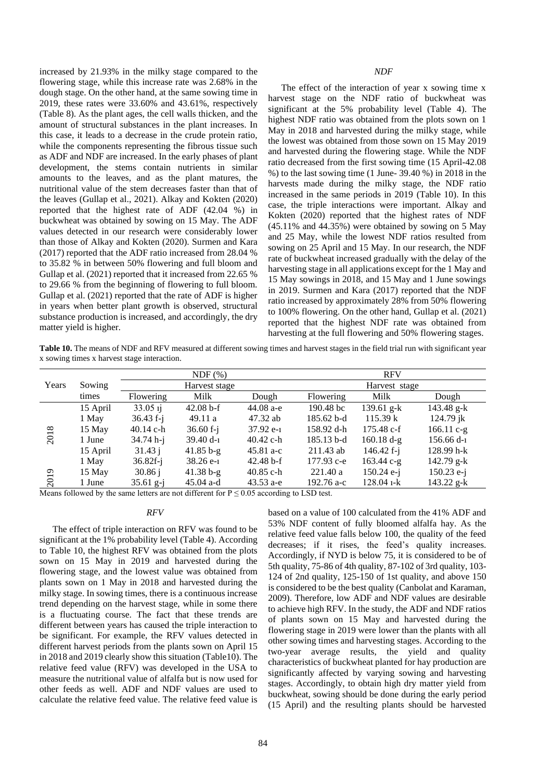increased by 21.93% in the milky stage compared to the flowering stage, while this increase rate was 2.68% in the dough stage. On the other hand, at the same sowing time in 2019, these rates were 33.60% and 43.61%, respectively (Table 8). As the plant ages, the cell walls thicken, and the amount of structural substances in the plant increases. In this case, it leads to a decrease in the crude protein ratio, while the components representing the fibrous tissue such as ADF and NDF are increased. In the early phases of plant development, the stems contain nutrients in similar amounts to the leaves, and as the plant matures, the nutritional value of the stem decreases faster than that of the leaves (Gullap et al., 2021). Alkay and Kokten (2020) reported that the highest rate of ADF (42.04 %) in buckwheat was obtained by sowing on 15 May. The ADF values detected in our research were considerably lower than those of Alkay and Kokten (2020). Surmen and Kara (2017) reported that the ADF ratio increased from 28.04 % to 35.82 % in between 50% flowering and full bloom and Gullap et al. (2021) reported that it increased from 22.65 % to 29.66 % from the beginning of flowering to full bloom. Gullap et al. (2021) reported that the rate of ADF is higher in years when better plant growth is observed, structural substance production is increased, and accordingly, the dry matter yield is higher.

The effect of the interaction of year x sowing time x harvest stage on the NDF ratio of buckwheat was significant at the 5% probability level (Table 4). The highest NDF ratio was obtained from the plots sown on 1 May in 2018 and harvested during the milky stage, while the lowest was obtained from those sown on 15 May 2019 and harvested during the flowering stage. While the NDF ratio decreased from the first sowing time (15 April-42.08 %) to the last sowing time (1 June- 39.40 %) in 2018 in the harvests made during the milky stage, the NDF ratio increased in the same periods in 2019 (Table 10). In this case, the triple interactions were important. Alkay and Kokten (2020) reported that the highest rates of NDF (45.11% and 44.35%) were obtained by sowing on 5 May and 25 May, while the lowest NDF ratios resulted from sowing on 25 April and 15 May. In our research, the NDF rate of buckwheat increased gradually with the delay of the harvesting stage in all applications except for the 1 May and 15 May sowings in 2018, and 15 May and 1 June sowings in 2019. Surmen and Kara (2017) reported that the NDF ratio increased by approximately 28% from 50% flowering to 100% flowering. On the other hand, Gullap et al. (2021) reported that the highest NDF rate was obtained from harvesting at the full flowering and 50% flowering stages.

**Table 10.** The means of NDF and RFV measured at different sowing times and harvest stages in the field trial run with significant year x sowing times x harvest stage interaction.

|                 |          |                   | NDF(%)        |             |                  | <b>RFV</b>           |              |
|-----------------|----------|-------------------|---------------|-------------|------------------|----------------------|--------------|
| Years           | Sowing   |                   | Harvest stage |             |                  | Harvest stage        |              |
|                 | times    | Flowering         | Milk          | Dough       | <b>Flowering</b> | Milk                 | Dough        |
|                 | 15 April | 33.05 ij          | $42.08 b-f$   | 44.08 a-e   | 190.48 bc        | 139.61 $g-k$         | $143.48$ g-k |
|                 | 1 May    | $36.43 f - j$     | 49.11a        | 47.32 ab    | 185.62 b-d       | 115.39 k             | $124.79$ jk  |
| $\infty$        | 15 May   | $40.14$ c-h       | $36.60 f - j$ | $37.92e-1$  | 158.92 d-h       | $175.48 \text{ c-f}$ | 166.11 $c-g$ |
| 201             | 1 June   | $34.74 h-i$       | $39.40 d-1$   | $40.42$ c-h | $185.13$ b-d     | $160.18 d-g$         | $156.66 d-1$ |
|                 | 15 April | $31.43 \text{ i}$ | $41.85 b-g$   | $45.81 a-c$ | $211.43$ ab      | 146.42 $f-i$         | $128.99 h-k$ |
|                 | 1 May    | $36.82f - j$      | $38.26e-1$    | $42.48 b-f$ | 177.93 c-e       | $163.44 c-g$         | $142.79$ g-k |
| $\overline{19}$ | 15 May   | $30.86 \text{ i}$ | $41.38 b-g$   | $40.85$ c-h | 221.40a          | $150.24$ e-j         | $150.23$ e-j |
| $\overline{5}$  | 1 June   | $35.61$ g-i       | $45.04$ a-d   | $43.53$ a-e | 192.76 a-c       | $128.04$ 1-k         | $143.22$ g-k |

Means followed by the same letters are not different for  $P \le 0.05$  according to LSD test.

### *RFV*

The effect of triple interaction on RFV was found to be significant at the 1% probability level (Table 4). According to Table 10, the highest RFV was obtained from the plots sown on 15 May in 2019 and harvested during the flowering stage, and the lowest value was obtained from plants sown on 1 May in 2018 and harvested during the milky stage. In sowing times, there is a continuous increase trend depending on the harvest stage, while in some there is a fluctuating course. The fact that these trends are different between years has caused the triple interaction to be significant. For example, the RFV values detected in different harvest periods from the plants sown on April 15 in 2018 and 2019 clearly show this situation (Table10). The relative feed value (RFV) was developed in the USA to measure the nutritional value of alfalfa but is now used for other feeds as well. ADF and NDF values are used to calculate the relative feed value. The relative feed value is based on a value of 100 calculated from the 41% ADF and 53% NDF content of fully bloomed alfalfa hay. As the relative feed value falls below 100, the quality of the feed decreases; if it rises, the feed's quality increases. Accordingly, if NYD is below 75, it is considered to be of 5th quality, 75-86 of 4th quality, 87-102 of 3rd quality, 103- 124 of 2nd quality, 125-150 of 1st quality, and above 150 is considered to be the best quality (Canbolat and Karaman, 2009). Therefore, low ADF and NDF values are desirable to achieve high RFV. In the study, the ADF and NDF ratios of plants sown on 15 May and harvested during the flowering stage in 2019 were lower than the plants with all other sowing times and harvesting stages. According to the two-year average results, the yield and quality characteristics of buckwheat planted for hay production are significantly affected by varying sowing and harvesting stages. Accordingly, to obtain high dry matter yield from buckwheat, sowing should be done during the early period (15 April) and the resulting plants should be harvested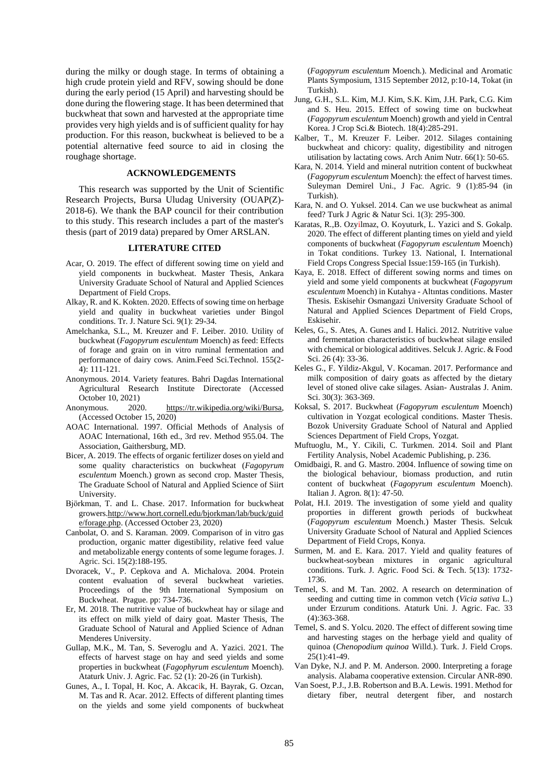during the milky or dough stage. In terms of obtaining a high crude protein yield and RFV, sowing should be done during the early period (15 April) and harvesting should be done during the flowering stage. It has been determined that buckwheat that sown and harvested at the appropriate time provides very high yields and is of sufficient quality for hay production. For this reason, buckwheat is believed to be a potential alternative feed source to aid in closing the roughage shortage.

#### **ACKNOWLEDGEMENTS**

This research was supported by the Unit of Scientific Research Projects, Bursa Uludag University (OUAP(Z)- 2018-6). We thank the BAP council for their contribution to this study. This research includes a part of the master's thesis (part of 2019 data) prepared by Omer ARSLAN.

# **LITERATURE CITED**

- Acar, O. 2019. The effect of different sowing time on yield and yield components in buckwheat. Master Thesis, Ankara University Graduate School of Natural and Applied Sciences Department of Field Crops.
- Alkay, R. and K. Kokten. 2020. Effects of sowing time on herbage yield and quality in buckwheat varieties under Bingol conditions. Tr. J. Nature Sci. 9(1): 29-34.
- Amelchanka, S.L., M. Kreuzer and F. Leiber. 2010. Utility of buckwheat (*Fagopyrum esculentum* Moench) as feed: Effects of forage and grain on in vitro ruminal fermentation and performance of dairy cows. Anim.Feed Sci.Technol. 155(2- 4): 111-121.
- Anonymous. 2014. Variety features. Bahri Dagdas International Agricultural Research Institute Directorate (Accessed October 10, 2021)
- Anonymous. 2020. [https://tr.wikipedia.org/wiki/Bursa,](https://tr.wikipedia.org/wiki/Bursa) (Accessed October 15, 2020)
- AOAC International. 1997. Official Methods of Analysis of AOAC International, 16th ed., 3rd rev. Method 955.04. The Association, Gaithersburg, MD.
- Bicer, A. 2019. The effects of organic fertilizer doses on yield and some quality characteristics on buckwheat (*Fagopyrum esculentum* Moench.) grown as second crop. Master Thesis, The Graduate School of Natural and Applied Science of Siirt University.
- Björkman, T. and L. Chase. 2017. Information for buckwheat grower[s.http://www.hort.cornell.edu/bjorkman/lab/buck/guid](http://www.hort.cornell.edu/bjorkman/lab/buck/guide/forage.php) [e/forage.php.](http://www.hort.cornell.edu/bjorkman/lab/buck/guide/forage.php) (Accessed October 23, 2020)
- Canbolat, O. and S. Karaman. 2009. Comparison of in vitro gas production, organic matter digestibility, relative feed value and metabolizable energy contents of some legume forages. J. Agric. Sci. 15(2):188-195.
- Dvoracek, V., P. Cepkova and A. Michalova. 2004. Protein content evaluation of several buckwheat varieties. Proceedings of the 9th International Symposium on Buckwheat. Prague. pp: 734-736.
- Er, M. 2018. The nutritive value of buckwheat hay or silage and its effect on milk yield of dairy goat. Master Thesis, The Graduate School of Natural and Applied Science of Adnan Menderes University.
- Gullap, M.K., M. Tan, S. Severoglu and A. Yazici. 2021. The effects of harvest stage on hay and seed yields and some properties in buckwheat (*Fagophyrum esculentum* Moench). Ataturk Univ. J. Agric. Fac. 52 (1): 20-26 (in Turkish).
- Gunes, A., I. Topal, H. Koc, A. Akcacik, H. Bayrak, G. Ozcan, M. Tas and R. Acar. 2012. Effects of different planting times on the yields and some yield components of buckwheat

(*Fagopyrum esculentum* Moench.). Medicinal and Aromatic Plants Symposium, 1315 September 2012, p:10-14, Tokat (in Turkish).

- Jung, G.H., S.L. Kim, M.J. Kim, S.K. Kim, J.H. Park, C.G. Kim and S. Heu. 2015. Effect of sowing time on buckwheat (*Fagopyrum esculentum* Moench) growth and yield in Central Korea. J Crop Sci.& Biotech. 18(4):285-291.
- Kalber, T., M. Kreuzer F. Leiber. 2012. Silages containing buckwheat and chicory: quality, digestibility and nitrogen utilisation by lactating cows. Arch Anim Nutr. 66(1): 50-65.
- Kara, N. 2014. Yield and mineral nutrition content of buckwheat (*Fagopyrum esculentum* Moench): the effect of harvest times. Suleyman Demirel Uni., J Fac. Agric. 9 (1):85-94 (in Turkish).
- Kara, N. and O. Yuksel. 2014. Can we use buckwheat as animal feed? Turk J Agric & Natur Sci. 1(3): 295-300.
- Karatas, R.,B. Ozyilmaz, O. Koyuturk, L. Yazici and S. Gokalp. 2020. The effect of different planting times on yield and yield components of buckwheat (*Fagopyrum esculentum* Moench) in Tokat conditions. Turkey 13. National, I. International Field Crops Congress Special Issue:159-165 (in Turkish).
- Kaya, E. 2018. Effect of different sowing norms and times on yield and some yield components at buckwheat (*Fagopyrum esculentum* Moench) in Kutahya - Altıntas conditions. Master Thesis. Eskisehir Osmangazi University Graduate School of Natural and Applied Sciences Department of Field Crops, Eskisehir.
- Keles, G., S. Ates, A. Gunes and I. Halici. 2012. Nutritive value and fermentation characteristics of buckwheat silage ensiled with chemical or biological additives. Selcuk J. Agric. & Food Sci. 26 (4): 33-36.
- Keles G., F. Yildiz-Akgul, V. Kocaman. 2017. Performance and milk composition of dairy goats as affected by the dietary level of stoned olive cake silages. Asian- Australas J. Anim. Sci. 30(3): 363-369.
- Koksal, S. 2017. Buckwheat (*Fagopyrum esculentum* Moench) cultivation in Yozgat ecological conditions. Master Thesis. Bozok University Graduate School of Natural and Applied Sciences Department of Field Crops, Yozgat.
- Muftuoglu, M., Y. Cikili, C. Turkmen. 2014. Soil and Plant Fertility Analysis, Nobel Academic Publishing, p. 236.
- Omidbaigi, R. and G. Mastro. 2004. Influence of sowing time on the biological behaviour, biomass production, and rutin content of buckwheat (*Fagopyrum esculentum* Moench). Italian J. Agron. 8(1): 47-50.
- Polat, H.I. 2019. The investigation of some yield and quality proporties in different growth periods of buckwheat (*Fagopyrum esculentum* Moench.) Master Thesis. Selcuk University Graduate School of Natural and Applied Sciences Department of Field Crops, Konya.
- Surmen, M. and E. Kara. 2017. Yield and quality features of buckwheat-soybean mixtures in organic agricultural conditions. Turk. J. Agric. Food Sci. & Tech. 5(13): 1732- 1736.
- Temel, S. and M. Tan. 2002. A research on determination of seeding and cutting time in common vetch (*Vicia sativa* L.) under Erzurum conditions. Ataturk Uni. J. Agric. Fac. 33 (4):363-368.
- Temel, S. and S. Yolcu. 2020. The effect of different sowing time and harvesting stages on the herbage yield and quality of quinoa (*Chenopodium quinoa* Willd.). Turk. J. Field Crops.  $25(1):41-49.$
- Van Dyke, N.J. and P. M. Anderson. 2000. Interpreting a forage analysis. Alabama cooperative extension. Circular ANR-890.
- Van Soest, P.J., J.B. Robertson and B.A. Lewis. 1991. Method for dietary fiber, neutral detergent fiber, and nostarch